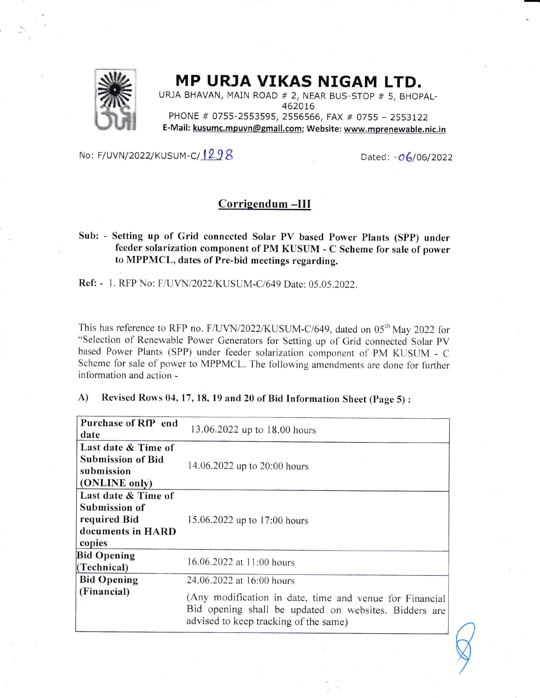

## MP URJA VIKAS NIGAM LTD.

URJA BHAVAN, MAiN ROAD # 2, NEAR BUS-STOP # 5, BHOPAL-462076 PHONE # 0755-2553595, 2556566, FAX # 0755 - 2553122 E-Mail: kusumc.mpuvn@gmail.com; Website: www.mprenewable.nic.in

## No: F/UVN/2022/KUSUM-C/ $1298$  Dated: - $\sigma$ 6/06/2022

## Corrigendum -III

Sub: - Setting up of Grid connected Solar PV based Power Plants (SPP) under feeder solarization component of PM KUSUM - C Scheme for sale of power to MPPMCL, dates of Pre-bid meetings regarding.

Ref: - 1. RFP No: F/UVN/2022/KUSUM-C/649 Date: 05.05.2022.

This has reference to RFP no. F/UVN/2022/KUSUM-C/649, dated on 05<sup>th</sup> May 2022 for "Selection of Renewable Power Generators for Setting up of Grid connected Solar PV based Power Plants (SPP) under feeder solarization component of PM KUSUM - C Scheme for sale of power to MPPMCL. The following amendments are done for further information and action -

## A) Revised Rows 04,17,18, 19 and 20 of Bid Information Sheet (page 5) :

| Purchase of RfP end<br>date                                                         | 13.06.2022 up to 18.00 hours                                                                   |
|-------------------------------------------------------------------------------------|------------------------------------------------------------------------------------------------|
| Last date & Time of<br><b>Submission of Bid</b><br>submission<br>(ONLINE only)      | 14.06.2022 up to 20:00 hours                                                                   |
| Last date & Time of<br>Submission of<br>required Bid<br>documents in HARD<br>copies | 15.06.2022 up to 17:00 hours                                                                   |
| <b>Bid Opening</b><br>(Technical)                                                   | 16.06.2022 at 11:00 hours                                                                      |
| <b>Bid Opening</b><br>(Financial)                                                   | 24.06.2022 at 16:00 hours<br>(Any modification in date, time and venue for Financial           |
|                                                                                     | Bid opening shall be updated on websites. Bidders are<br>advised to keep tracking of the same) |